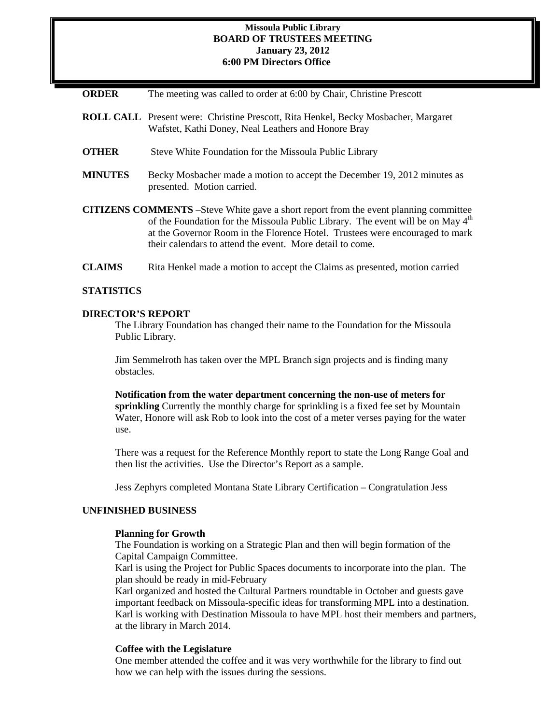### **Missoula Public Library BOARD OF TRUSTEES MEETING January 23, 2012 6:00 PM Directors Office**

| <b>ORDER</b> | The meeting was called to order at 6:00 by Chair, Christine Prescott |  |  |  |  |
|--------------|----------------------------------------------------------------------|--|--|--|--|
|--------------|----------------------------------------------------------------------|--|--|--|--|

- **ROLL CALL** Present were: Christine Prescott, Rita Henkel, Becky Mosbacher, Margaret Wafstet, Kathi Doney, Neal Leathers and Honore Bray
- **OTHER** Steve White Foundation for the Missoula Public Library
- **MINUTES** Becky Mosbacher made a motion to accept the December 19, 2012 minutes as presented. Motion carried.
- **CITIZENS COMMENTS** –Steve White gave a short report from the event planning committee of the Foundation for the Missoula Public Library. The event will be on May  $4<sup>th</sup>$ at the Governor Room in the Florence Hotel. Trustees were encouraged to mark their calendars to attend the event. More detail to come.
- **CLAIMS** Rita Henkel made a motion to accept the Claims as presented, motion carried

#### **STATISTICS**

#### **DIRECTOR'S REPORT**

The Library Foundation has changed their name to the Foundation for the Missoula Public Library.

Jim Semmelroth has taken over the MPL Branch sign projects and is finding many obstacles.

**Notification from the water department concerning the non-use of meters for sprinkling** Currently the monthly charge for sprinkling is a fixed fee set by Mountain Water, Honore will ask Rob to look into the cost of a meter verses paying for the water use.

There was a request for the Reference Monthly report to state the Long Range Goal and then list the activities. Use the Director's Report as a sample.

Jess Zephyrs completed Montana State Library Certification – Congratulation Jess

### **UNFINISHED BUSINESS**

#### **Planning for Growth**

The Foundation is working on a Strategic Plan and then will begin formation of the Capital Campaign Committee.

Karl is using the Project for Public Spaces documents to incorporate into the plan. The plan should be ready in mid-February

Karl organized and hosted the Cultural Partners roundtable in October and guests gave important feedback on Missoula-specific ideas for transforming MPL into a destination. Karl is working with Destination Missoula to have MPL host their members and partners, at the library in March 2014.

#### **Coffee with the Legislature**

One member attended the coffee and it was very worthwhile for the library to find out how we can help with the issues during the sessions.